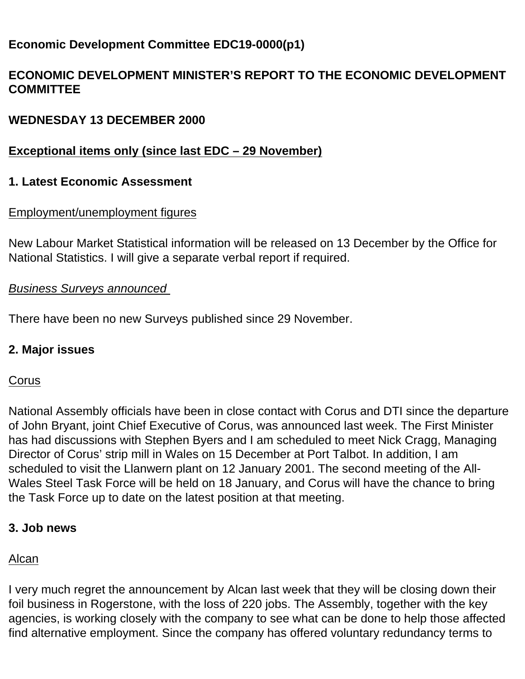# **Economic Development Committee EDC19-0000(p1)**

## **ECONOMIC DEVELOPMENT MINISTER'S REPORT TO THE ECONOMIC DEVELOPMENT COMMITTEE**

## **WEDNESDAY 13 DECEMBER 2000**

## **Exceptional items only (since last EDC – 29 November)**

### **1. Latest Economic Assessment**

### Employment/unemployment figures

New Labour Market Statistical information will be released on 13 December by the Office for National Statistics. I will give a separate verbal report if required.

#### *Business Surveys announced*

There have been no new Surveys published since 29 November.

### **2. Major issues**

### **Corus**

National Assembly officials have been in close contact with Corus and DTI since the departure of John Bryant, joint Chief Executive of Corus, was announced last week. The First Minister has had discussions with Stephen Byers and I am scheduled to meet Nick Cragg, Managing Director of Corus' strip mill in Wales on 15 December at Port Talbot. In addition, I am scheduled to visit the Llanwern plant on 12 January 2001. The second meeting of the All-Wales Steel Task Force will be held on 18 January, and Corus will have the chance to bring the Task Force up to date on the latest position at that meeting.

### **3. Job news**

### Alcan

I very much regret the announcement by Alcan last week that they will be closing down their foil business in Rogerstone, with the loss of 220 jobs. The Assembly, together with the key agencies, is working closely with the company to see what can be done to help those affected find alternative employment. Since the company has offered voluntary redundancy terms to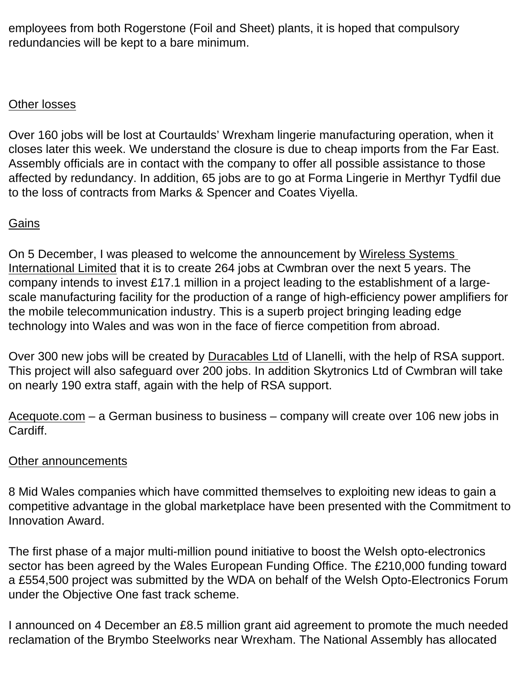employees from both Rogerstone (Foil and Sheet) plants, it is hoped that compulsory redundancies will be kept to a bare minimum.

### Other losses

Over 160 jobs will be lost at Courtaulds' Wrexham lingerie manufacturing operation, when it closes later this week. We understand the closure is due to cheap imports from the Far East. Assembly officials are in contact with the company to offer all possible assistance to those affected by redundancy. In addition, 65 jobs are to go at Forma Lingerie in Merthyr Tydfil due to the loss of contracts from Marks & Spencer and Coates Viyella.

## **Gains**

On 5 December, I was pleased to welcome the announcement by Wireless Systems International Limited that it is to create 264 jobs at Cwmbran over the next 5 years. The company intends to invest £17.1 million in a project leading to the establishment of a largescale manufacturing facility for the production of a range of high-efficiency power amplifiers for the mobile telecommunication industry. This is a superb project bringing leading edge technology into Wales and was won in the face of fierce competition from abroad.

Over 300 new jobs will be created by Duracables Ltd of Llanelli, with the help of RSA support. This project will also safeguard over 200 jobs. In addition Skytronics Ltd of Cwmbran will take on nearly 190 extra staff, again with the help of RSA support.

Acequote.com – a German business to business – company will create over 106 new jobs in Cardiff.

### Other announcements

8 Mid Wales companies which have committed themselves to exploiting new ideas to gain a competitive advantage in the global marketplace have been presented with the Commitment to Innovation Award.

The first phase of a major multi-million pound initiative to boost the Welsh opto-electronics sector has been agreed by the Wales European Funding Office. The £210,000 funding toward a £554,500 project was submitted by the WDA on behalf of the Welsh Opto-Electronics Forum under the Objective One fast track scheme.

I announced on 4 December an £8.5 million grant aid agreement to promote the much needed reclamation of the Brymbo Steelworks near Wrexham. The National Assembly has allocated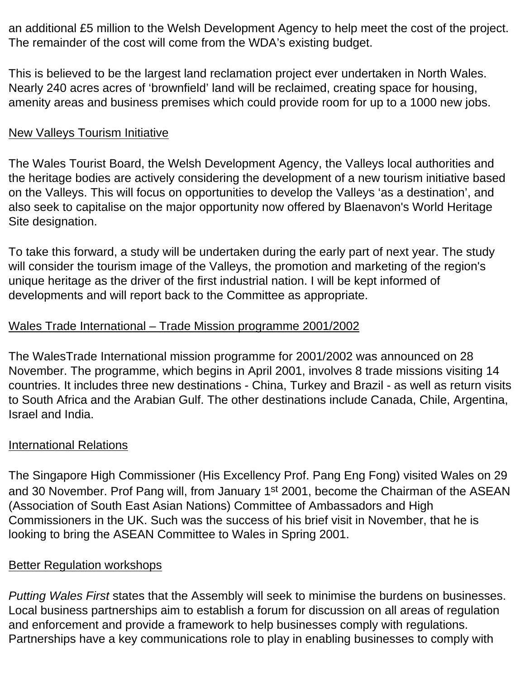an additional £5 million to the Welsh Development Agency to help meet the cost of the project. The remainder of the cost will come from the WDA's existing budget.

This is believed to be the largest land reclamation project ever undertaken in North Wales. Nearly 240 acres acres of 'brownfield' land will be reclaimed, creating space for housing, amenity areas and business premises which could provide room for up to a 1000 new jobs.

### New Valleys Tourism Initiative

The Wales Tourist Board, the Welsh Development Agency, the Valleys local authorities and the heritage bodies are actively considering the development of a new tourism initiative based on the Valleys. This will focus on opportunities to develop the Valleys 'as a destination', and also seek to capitalise on the major opportunity now offered by Blaenavon's World Heritage Site designation.

To take this forward, a study will be undertaken during the early part of next year. The study will consider the tourism image of the Valleys, the promotion and marketing of the region's unique heritage as the driver of the first industrial nation. I will be kept informed of developments and will report back to the Committee as appropriate.

### Wales Trade International – Trade Mission programme 2001/2002

The WalesTrade International mission programme for 2001/2002 was announced on 28 November. The programme, which begins in April 2001, involves 8 trade missions visiting 14 countries. It includes three new destinations - China, Turkey and Brazil - as well as return visits to South Africa and the Arabian Gulf. The other destinations include Canada, Chile, Argentina, Israel and India.

### International Relations

The Singapore High Commissioner (His Excellency Prof. Pang Eng Fong) visited Wales on 29 and 30 November. Prof Pang will, from January 1<sup>st</sup> 2001, become the Chairman of the ASEAN (Association of South East Asian Nations) Committee of Ambassadors and High Commissioners in the UK. Such was the success of his brief visit in November, that he is looking to bring the ASEAN Committee to Wales in Spring 2001.

### Better Regulation workshops

*Putting Wales First* states that the Assembly will seek to minimise the burdens on businesses. Local business partnerships aim to establish a forum for discussion on all areas of regulation and enforcement and provide a framework to help businesses comply with regulations. Partnerships have a key communications role to play in enabling businesses to comply with